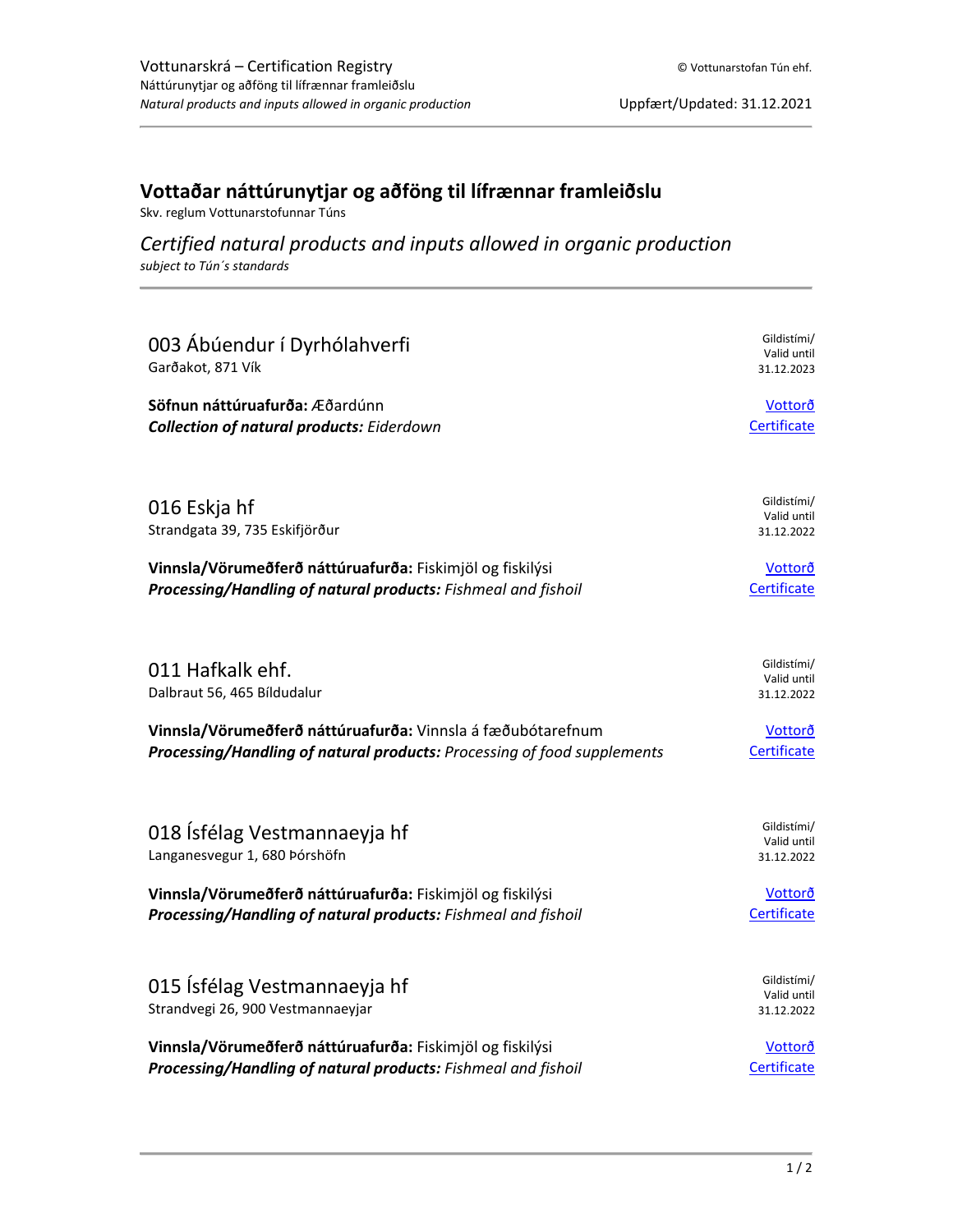## **Vottaðar náttúrunytjar og aðföng til lífrænnar framleiðslu**

Skv. reglum Vottunarstofunnar Túns

*Certified natural products and inputs allowed in organic production subject to Tún´s standards*

| 003 Ábúendur í Dyrhólahverfi<br>Garðakot, 871 Vík                                                                                      | Gildistími/<br>Valid until<br>31.12.2023 |
|----------------------------------------------------------------------------------------------------------------------------------------|------------------------------------------|
| Söfnun náttúruafurða: Æðardúnn<br><b>Collection of natural products:</b> Eiderdown                                                     | Vottorð<br>Certificate                   |
|                                                                                                                                        |                                          |
| 016 Eskja hf<br>Strandgata 39, 735 Eskifjörður                                                                                         | Gildistími/<br>Valid until<br>31.12.2022 |
| Vinnsla/Vörumeðferð náttúruafurða: Fiskimjöl og fiskilýsi<br>Processing/Handling of natural products: Fishmeal and fishoil             | Vottorð<br>Certificate                   |
| 011 Hafkalk ehf.<br>Dalbraut 56, 465 Bíldudalur                                                                                        | Gildistími/<br>Valid until<br>31.12.2022 |
| Vinnsla/Vörumeðferð náttúruafurða: Vinnsla á fæðubótarefnum<br>Processing/Handling of natural products: Processing of food supplements | Vottorð<br>Certificate                   |
| 018 Ísfélag Vestmannaeyja hf<br>Langanesvegur 1, 680 Þórshöfn                                                                          | Gildistími/<br>Valid until<br>31.12.2022 |
| Vinnsla/Vörumeðferð náttúruafurða: Fiskimjöl og fiskilýsi<br>Processing/Handling of natural products: Fishmeal and fishoil             | Vottorð<br>Certificate                   |
| 015 Ísfélag Vestmannaeyja hf<br>Strandvegi 26, 900 Vestmannaeyjar                                                                      | Gildistími/<br>Valid until<br>31.12.2022 |
| Vinnsla/Vörumeðferð náttúruafurða: Fiskimjöl og fiskilýsi<br>Processing/Handling of natural products: Fishmeal and fishoil             | Vottorð<br>Certificate                   |